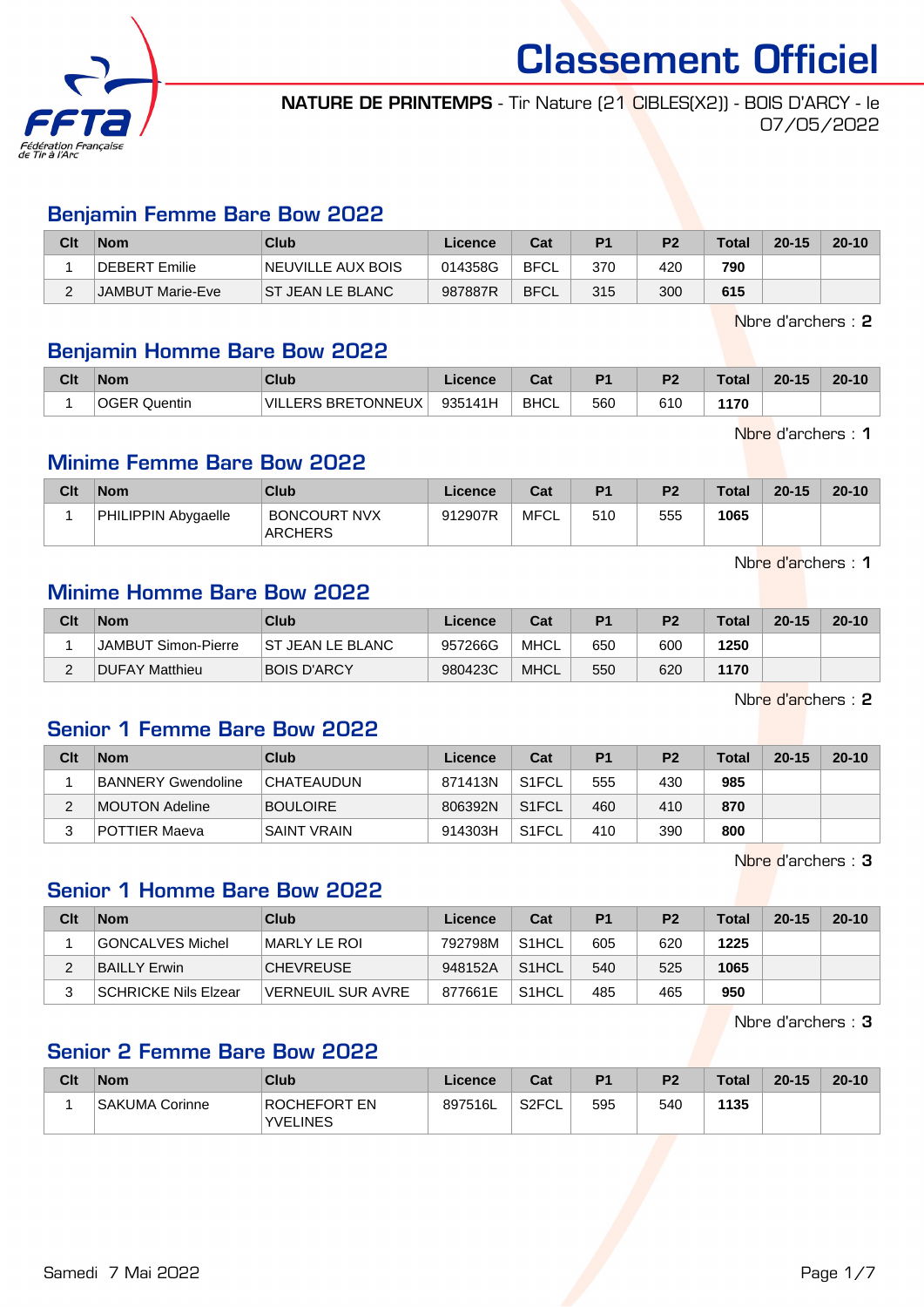

NATURE DE PRINTEMPS - Tir Nature (21 CIBLES(X2)) - BOIS D'ARCY - le 07/05/2022

#### Benjamin Femme Bare Bow 2022

| Clt | <b>Nom</b>       | Club                     | Licence | Cat         | P <sub>1</sub> | P <sub>2</sub> | <b>Total</b> | $20 - 15$ | $20 - 10$ |
|-----|------------------|--------------------------|---------|-------------|----------------|----------------|--------------|-----------|-----------|
|     | DEBERT Emilie    | <b>NEUVILLE AUX BOIS</b> | 014358G | <b>BFCL</b> | 370            | 420            | 790          |           |           |
|     | JAMBUT Marie-Eve | IST JEAN LE BLANC        | 987887R | <b>BFCL</b> | 315            | 300            | 615          |           |           |

Nbre d'archers : 2

#### Benjamin Homme Bare Bow 2022

| Clt | <b>Nom</b> | Club                   | .icence | ה ה<br>ua   | D <sub>1</sub> | D <sub>2</sub> | <b>Total</b> | $20 - 15$ | $20 - 10$ |
|-----|------------|------------------------|---------|-------------|----------------|----------------|--------------|-----------|-----------|
|     | Quentin    | LERS BRETONNEUX<br>VII | 935141H | <b>BHCL</b> | 560            | 610            | 1170         |           |           |

Nbre d'archers : 1

# Minime Femme Bare Bow 2022

| Clt | <b>Nom</b>          | Club                                  | Licence | Cat  | P <sub>1</sub> | P <sub>2</sub> | <b>Total</b> | $20 - 15$ | $20 - 10$ |
|-----|---------------------|---------------------------------------|---------|------|----------------|----------------|--------------|-----------|-----------|
|     | PHILIPPIN Abygaelle | <b>BONCOURT NVX</b><br><b>ARCHERS</b> | 912907R | MFCL | 510            | 555            | 1065         |           |           |

Nbre d'archers : 1

# Minime Homme Bare Bow 2022

| Clt | <b>Nom</b>          | Club                    | Licence | Cat         | <b>P1</b> | P <sub>2</sub> | <b>Total</b> | $20 - 15$ | $20 - 10$ |
|-----|---------------------|-------------------------|---------|-------------|-----------|----------------|--------------|-----------|-----------|
|     | JAMBUT Simon-Pierre | <b>ST JEAN LE BLANC</b> | 957266G | MHCL        | 650       | 600            | 1250         |           |           |
| ∼   | DUFAY Matthieu      | <b>BOIS D'ARCY</b>      | 980423C | <b>MHCL</b> | 550       | 620            | 1170         |           |           |

Nbre d'archers : 2

## Senior 1 Femme Bare Bow 2022

| Clt | <b>Nom</b>         | Club               | Licence | Cat                | P <sub>1</sub> | P <sub>2</sub> | Total | $20 - 15$ | $20 - 10$ |
|-----|--------------------|--------------------|---------|--------------------|----------------|----------------|-------|-----------|-----------|
|     | BANNERY Gwendoline | <b>CHATEAUDUN</b>  | 871413N | S <sub>1</sub> FCL | 555            | 430            | 985   |           |           |
|     | MOUTON Adeline     | <b>BOULOIRE</b>    | 806392N | S <sub>1</sub> FCL | 460            | 410            | 870   |           |           |
|     | POTTIER Maeva      | <b>SAINT VRAIN</b> | 914303H | S <sub>1</sub> FCL | 410            | 390            | 800   |           |           |

Nbre d'archers : 3

#### Senior 1 Homme Bare Bow 2022

| Clt | <b>Nom</b>           | Club              | Licence | Cat                | P <sub>1</sub> | P <sub>2</sub> | <b>Total</b> | $20 - 15$ | $20 - 10$ |
|-----|----------------------|-------------------|---------|--------------------|----------------|----------------|--------------|-----------|-----------|
|     | GONCALVES Michel     | MARLY LE ROI      | 792798M | S <sub>1</sub> HCL | 605            | 620            | 1225         |           |           |
|     | BAILLY Erwin         | <b>CHEVREUSE</b>  | 948152A | S <sub>1</sub> HCL | 540            | 525            | 1065         |           |           |
|     | SCHRICKE Nils Elzear | VERNEUIL SUR AVRE | 877661E | S <sub>1</sub> HCL | 485            | 465            | 950          |           |           |

Nbre d'archers : 3

### Senior 2 Femme Bare Bow 2022

| Clt | <b>Nom</b>     | Club                                   | Licence | Cat                | D <sub>1</sub> | P <sub>2</sub> | <b>Total</b> | $20 - 15$ | $20 - 10$ |
|-----|----------------|----------------------------------------|---------|--------------------|----------------|----------------|--------------|-----------|-----------|
|     | SAKUMA Corinne | <b>ROCHEFORT EN</b><br><b>YVELINES</b> | 897516L | S <sub>2</sub> FCL | 595            | 540            | 1135         |           |           |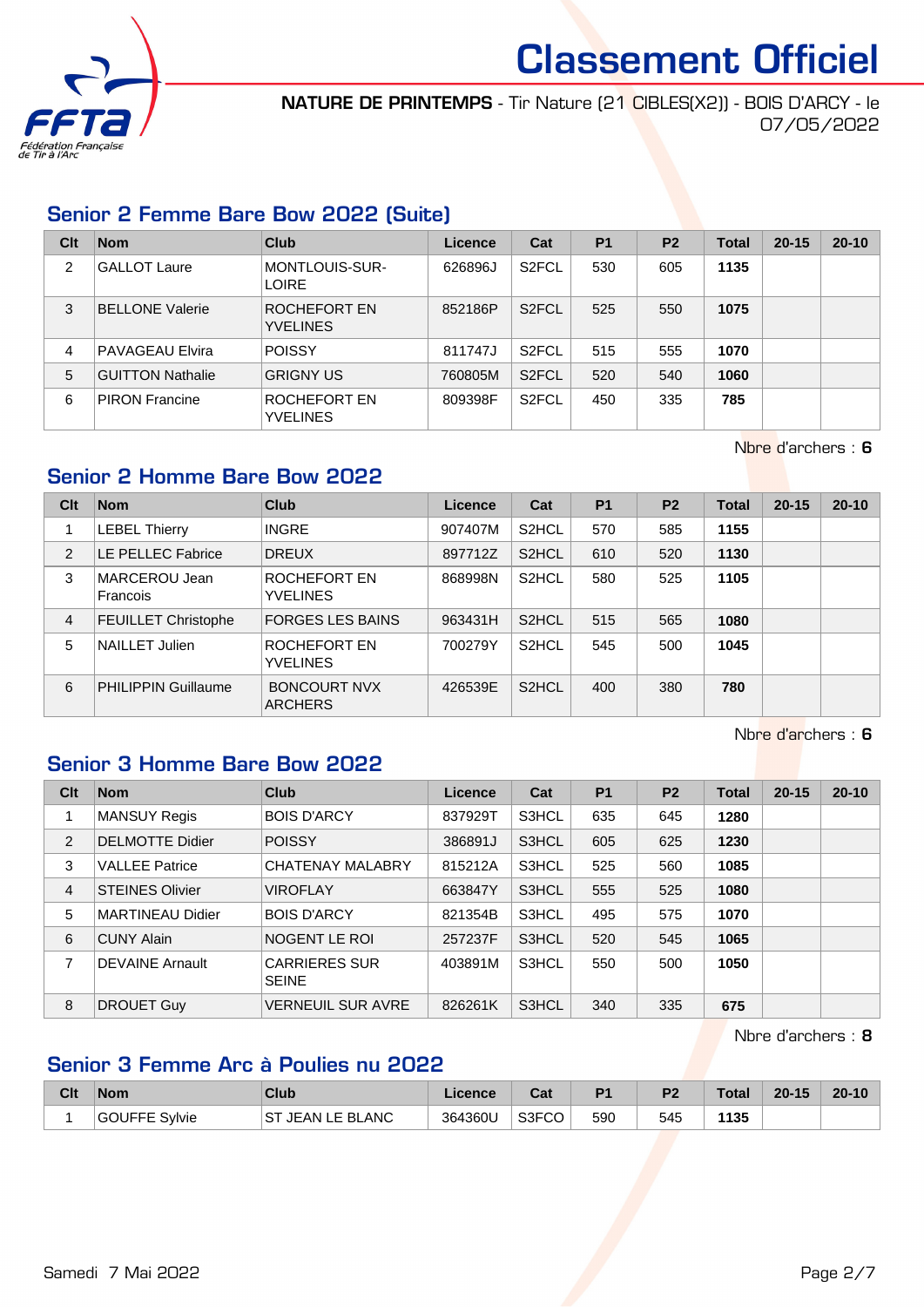

NATURE DE PRINTEMPS - Tir Nature (21 CIBLES(X2)) - BOIS D'ARCY - le 07/05/2022

# Senior 2 Femme Bare Bow 2022 (Suite)

| Clt            | <b>Nom</b>              | Club                            | Licence | Cat                | <b>P1</b> | P <sub>2</sub> | Total | $20 - 15$ | $20 - 10$ |
|----------------|-------------------------|---------------------------------|---------|--------------------|-----------|----------------|-------|-----------|-----------|
| $\overline{2}$ | <b>GALLOT Laure</b>     | MONTLOUIS-SUR-<br><b>LOIRE</b>  | 626896J | S <sub>2</sub> FCL | 530       | 605            | 1135  |           |           |
| 3              | <b>BELLONE Valerie</b>  | ROCHEFORT EN<br><b>YVELINES</b> | 852186P | S <sub>2</sub> FCL | 525       | 550            | 1075  |           |           |
| 4              | <b>PAVAGEAU Elvira</b>  | <b>POISSY</b>                   | 811747J | S <sub>2</sub> FCL | 515       | 555            | 1070  |           |           |
| 5              | <b>GUITTON Nathalie</b> | <b>GRIGNY US</b>                | 760805M | S <sub>2</sub> FCL | 520       | 540            | 1060  |           |           |
| 6              | <b>PIRON Francine</b>   | ROCHEFORT EN<br><b>YVELINES</b> | 809398F | S <sub>2</sub> FCL | 450       | 335            | 785   |           |           |

Nbre d'archers : 6

#### Senior 2 Homme Bare Bow 2022

| Clt | <b>Nom</b>                 | Club                                  | Licence | Cat                | <b>P1</b> | P <sub>2</sub> | <b>Total</b> | $20 - 15$ | $20 - 10$ |
|-----|----------------------------|---------------------------------------|---------|--------------------|-----------|----------------|--------------|-----------|-----------|
|     | <b>LEBEL Thierry</b>       | <b>INGRE</b>                          | 907407M | S <sub>2</sub> HCL | 570       | 585            | 1155         |           |           |
| 2   | LE PELLEC Fabrice          | <b>DREUX</b>                          | 897712Z | S <sub>2</sub> HCL | 610       | 520            | 1130         |           |           |
| 3   | MARCEROU Jean<br>Francois  | ROCHEFORT EN<br><b>YVELINES</b>       | 868998N | S <sub>2</sub> HCL | 580       | 525            | 1105         |           |           |
| 4   | <b>FEUILLET Christophe</b> | <b>FORGES LES BAINS</b>               | 963431H | S <sub>2</sub> HCL | 515       | 565            | 1080         |           |           |
| 5   | NAILLET Julien             | ROCHEFORT EN<br><b>YVELINES</b>       | 700279Y | S <sub>2</sub> HCL | 545       | 500            | 1045         |           |           |
| 6   | <b>PHILIPPIN Guillaume</b> | <b>BONCOURT NVX</b><br><b>ARCHERS</b> | 426539E | S <sub>2</sub> HCL | 400       | 380            | 780          |           |           |

Nbre d'archers : 6

#### Senior 3 Homme Bare Bow 2022

| Clt            | <b>Nom</b>              | Club                                 | Licence | Cat   | <b>P1</b> | P <sub>2</sub> | <b>Total</b> | $20 - 15$ | $20 - 10$ |
|----------------|-------------------------|--------------------------------------|---------|-------|-----------|----------------|--------------|-----------|-----------|
|                | <b>MANSUY Regis</b>     | <b>BOIS D'ARCY</b>                   | 837929T | S3HCL | 635       | 645            | 1280         |           |           |
| 2              | <b>DELMOTTE Didier</b>  | <b>POISSY</b>                        | 386891J | S3HCL | 605       | 625            | 1230         |           |           |
| 3              | <b>VALLEE Patrice</b>   | <b>CHATENAY MALABRY</b>              | 815212A | S3HCL | 525       | 560            | 1085         |           |           |
| $\overline{4}$ | <b>STEINES Olivier</b>  | <b>VIROFLAY</b>                      | 663847Y | S3HCL | 555       | 525            | 1080         |           |           |
| 5              | <b>MARTINEAU Didier</b> | <b>BOIS D'ARCY</b>                   | 821354B | S3HCL | 495       | 575            | 1070         |           |           |
| 6              | <b>CUNY Alain</b>       | NOGENT LE ROI                        | 257237F | S3HCL | 520       | 545            | 1065         |           |           |
| 7              | <b>DEVAINE Arnault</b>  | <b>CARRIERES SUR</b><br><b>SEINE</b> | 403891M | S3HCL | 550       | 500            | 1050         |           |           |
| 8              | <b>DROUET Guy</b>       | <b>VERNEUIL SUR AVRE</b>             | 826261K | S3HCL | 340       | 335            | 675          |           |           |

Nbre d'archers : 8

# Senior 3 Femme Arc à Poulies nu 2022

| Clt | <b>Nom</b>           | Club                        | Licence | <b>That is a fact of the owner.</b><br>ual | D <sub>4</sub> | P <sub>2</sub> | <b>Total</b> | $20 - 15$ | $20 - 10$ |
|-----|----------------------|-----------------------------|---------|--------------------------------------------|----------------|----------------|--------------|-----------|-----------|
|     | <b>GOUFFE Sylvie</b> | <b>JEAN LE BLANC</b><br>.ST | 364360U | S3FCO                                      | 590            | 545            | 1135         |           |           |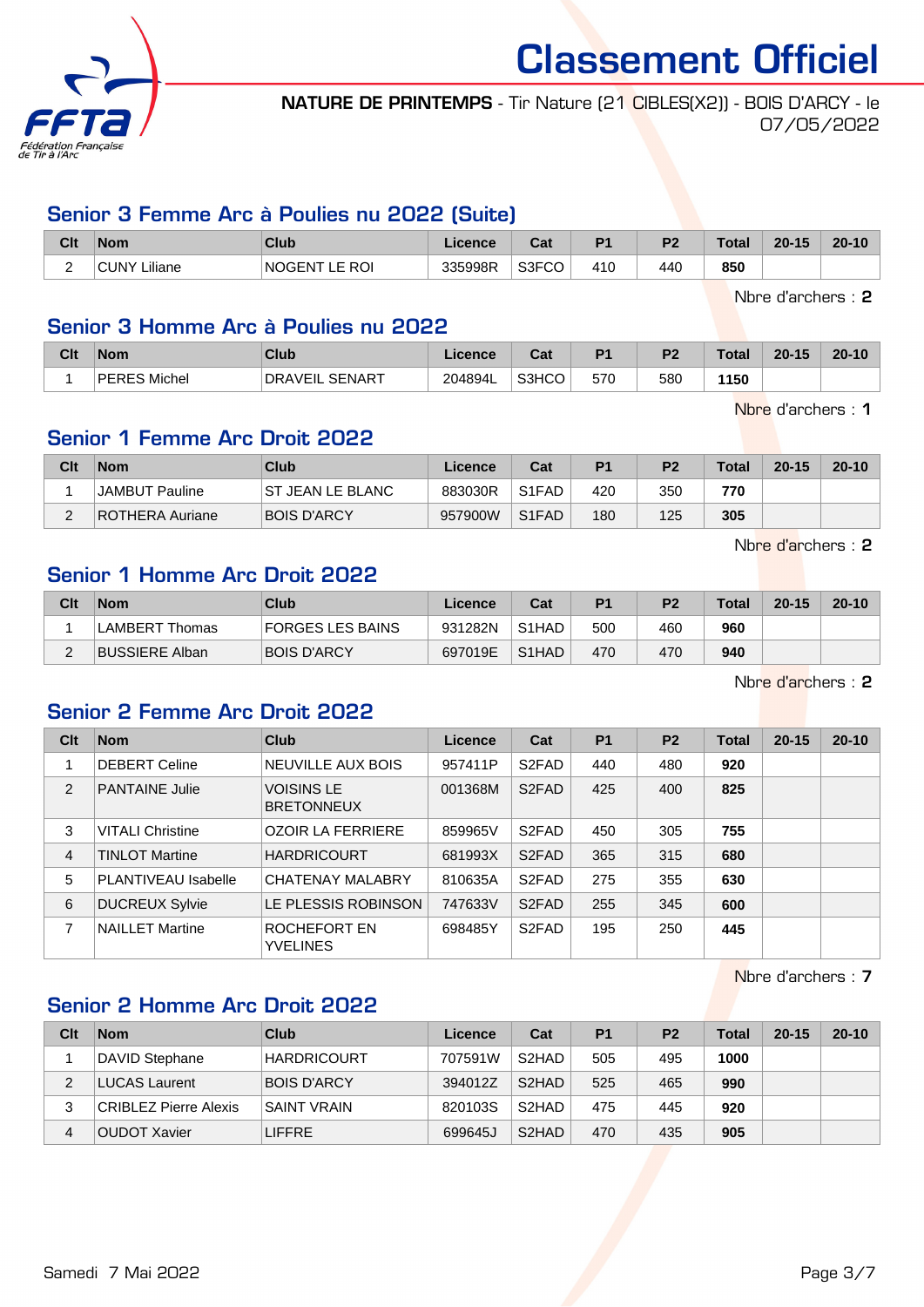

NATURE DE PRINTEMPS - Tir Nature (21 CIBLES(X2)) - BOIS D'ARCY - le 07/05/2022

#### Senior 3 Femme Arc à Poulies nu 2022 (Suite)

| Clt                           | <b>Nom</b>      | <b>Club</b>                   | <b>Licence</b> | יה<br>⊍aι | P <sub>1</sub> | P <sub>2</sub> | <b>Total</b> | $20 - 15$ | $20 - 10$ |
|-------------------------------|-----------------|-------------------------------|----------------|-----------|----------------|----------------|--------------|-----------|-----------|
| $\overline{\phantom{0}}$<br>- | ∟iliane<br>CUNY | <b>NOGENT</b><br>E ROI.<br>-- | 335998R        | S3FCO     | 410            | 440            | 850          |           |           |

Nbre d'archers : 2

#### Senior 3 Homme Arc à Poulies nu 2022

| Clt | Nom                   | Club                       | <b>Licence</b> | $\sim$<br>ual | D <sub>1</sub> | P <sub>2</sub> | <b>Total</b> | $20 - 15$ | $20 - 10$ |
|-----|-----------------------|----------------------------|----------------|---------------|----------------|----------------|--------------|-----------|-----------|
|     | 'ERES Michel<br>DEDER | _ SENART<br><b>DRAVEIL</b> | 204894L        | S3HCO<br>ı.   | 570            | 580            | 1150         |           |           |

Nbre d'archers : 1

#### Senior 1 Femme Arc Droit 2022

| Clt | <b>Nom</b>      | Club                     | Licence | Cat                | P <sub>1</sub> | P <sub>2</sub> | <b>Total</b> | $20 - 15$ | $20 - 10$ |
|-----|-----------------|--------------------------|---------|--------------------|----------------|----------------|--------------|-----------|-----------|
|     | JAMBUT Pauline  | <b>IST JEAN LE BLANC</b> | 883030R | S1FAD              | 420            | 350            | 770          |           |           |
|     | ROTHERA Auriane | <b>BOIS D'ARCY</b>       | 957900W | S <sub>1</sub> FAD | 180            | 125            | 305          |           |           |

Nbre d'archers : 2

# Senior 1 Homme Arc Droit 2022

| Clt | <b>Nom</b>            | Club               | Licence | Cat                | P <sub>1</sub> | P <sub>2</sub> | <b>Total</b> | $20 - 15$ | $20 - 10$ |
|-----|-----------------------|--------------------|---------|--------------------|----------------|----------------|--------------|-----------|-----------|
|     | LAMBERT Thomas        | FORGES LES BAINS   | 931282N | S <sub>1</sub> HAD | 500            | 460            | 960          |           |           |
|     | <b>BUSSIERE Alban</b> | <b>BOIS D'ARCY</b> | 697019E | S <sub>1</sub> HAD | 470            | 470            | 940          |           |           |

Nbre d'archers : 2

# Senior 2 Femme Arc Droit 2022

| Clt | <b>Nom</b>              | <b>Club</b>                            | Licence | Cat                | P <sub>1</sub> | P <sub>2</sub> | <b>Total</b> | $20 - 15$ | $20 - 10$ |
|-----|-------------------------|----------------------------------------|---------|--------------------|----------------|----------------|--------------|-----------|-----------|
|     | <b>DEBERT Celine</b>    | NEUVILLE AUX BOIS                      | 957411P | S <sub>2</sub> FAD | 440            | 480            | 920          |           |           |
| 2   | <b>PANTAINE Julie</b>   | <b>VOISINS LE</b><br><b>BRETONNEUX</b> | 001368M | S <sub>2</sub> FAD | 425            | 400            | 825          |           |           |
| 3   | <b>VITALI Christine</b> | <b>OZOIR LA FERRIERE</b>               | 859965V | S <sub>2</sub> FAD | 450            | 305            | 755          |           |           |
| 4   | <b>TINLOT Martine</b>   | <b>HARDRICOURT</b>                     | 681993X | S <sub>2</sub> FAD | 365            | 315            | 680          |           |           |
| 5   | PLANTIVEAU Isabelle     | <b>CHATENAY MALABRY</b>                | 810635A | S <sub>2</sub> FAD | 275            | 355            | 630          |           |           |
| 6   | <b>DUCREUX Sylvie</b>   | LE PLESSIS ROBINSON                    | 747633V | S <sub>2</sub> FAD | 255            | 345            | 600          |           |           |
| 7   | <b>NAILLET Martine</b>  | ROCHEFORT EN<br><b>YVELINES</b>        | 698485Y | S <sub>2</sub> FAD | 195            | 250            | 445          |           |           |

Nbre d'archers : 7

#### Senior 2 Homme Arc Droit 2022

| Clt | <b>Nom</b>            | <b>Club</b>        | Licence | Cat                | P <sub>1</sub> | P <sub>2</sub> | <b>Total</b> | $20 - 15$ | $20 - 10$ |
|-----|-----------------------|--------------------|---------|--------------------|----------------|----------------|--------------|-----------|-----------|
|     | DAVID Stephane        | <b>HARDRICOURT</b> | 707591W | S <sub>2</sub> HAD | 505            | 495            | 1000         |           |           |
| ◠   | LUCAS Laurent         | <b>BOIS D'ARCY</b> | 394012Z | S <sub>2</sub> HAD | 525            | 465            | 990          |           |           |
| 3   | CRIBLEZ Pierre Alexis | <b>SAINT VRAIN</b> | 820103S | S <sub>2</sub> HAD | 475            | 445            | 920          |           |           |
| 4   | OUDOT Xavier          | <b>LIFFRE</b>      | 699645J | S <sub>2</sub> HAD | 470            | 435            | 905          |           |           |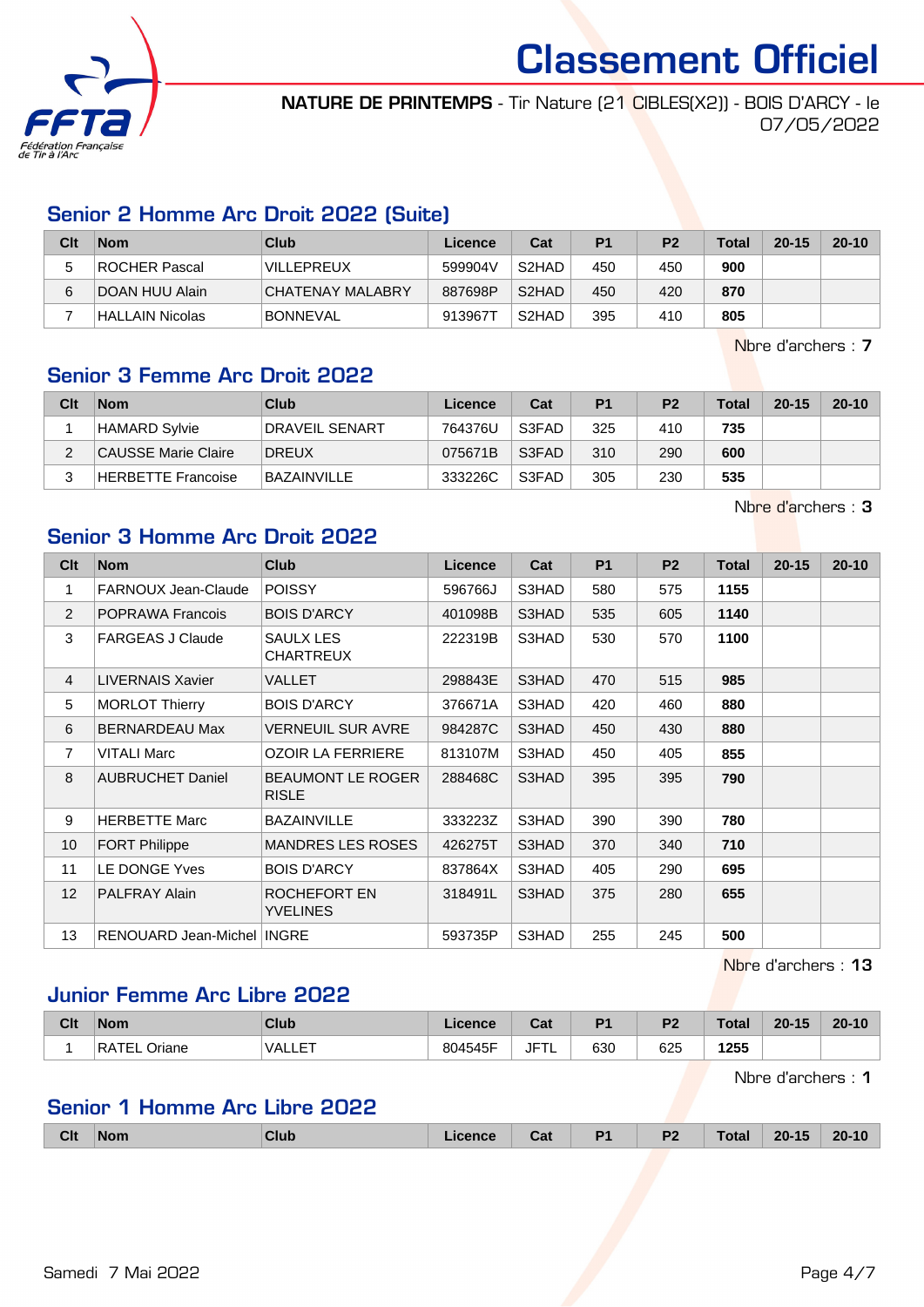

NATURE DE PRINTEMPS - Tir Nature (21 CIBLES(X2)) - BOIS D'ARCY - le 07/05/2022

# Senior 2 Homme Arc Droit 2022 (Suite)

| Clt | <b>Nom</b>       | Club              | Licence | Cat                | P <sub>1</sub> | P <sub>2</sub> | <b>Total</b> | $20 - 15$ | $20 - 10$ |
|-----|------------------|-------------------|---------|--------------------|----------------|----------------|--------------|-----------|-----------|
|     | ROCHER Pascal    | <b>VILLEPREUX</b> | 599904V | S <sub>2</sub> HAD | 450            | 450            | 900          |           |           |
| 6   | I DOAN HUU Alain | CHATENAY MALABRY  | 887698P | S <sub>2</sub> HAD | 450            | 420            | 870          |           |           |
|     | HALLAIN Nicolas  | <b>BONNEVAL</b>   | 913967T | S <sub>2</sub> HAD | 395            | 410            | 805          |           |           |

Nbre d'archers : 7

#### Senior 3 Femme Arc Droit 2022

| Clt | <b>Nom</b>          | Club                  | Licence | Cat   | P <sub>1</sub> | P <sub>2</sub> | <b>Total</b> | $20 - 15$ | $20 - 10$ |
|-----|---------------------|-----------------------|---------|-------|----------------|----------------|--------------|-----------|-----------|
|     | HAMARD Sylvie       | <b>DRAVEIL SENART</b> | 764376U | S3FAD | 325            | 410            | 735          |           |           |
| ົ   | CAUSSE Marie Claire | DREUX                 | 075671B | S3FAD | 310            | 290            | 600          |           |           |
| ົ   | HERBETTE Francoise  | BAZAINVILLE           | 333226C | S3FAD | 305            | 230            | 535          |           |           |

Nbre d'archers : 3

# Senior 3 Homme Arc Droit 2022

| Clt            | <b>Nom</b>                 | <b>Club</b>                              | Licence | Cat   | <b>P1</b> | P <sub>2</sub> | <b>Total</b> | $20 - 15$ | $20 - 10$ |
|----------------|----------------------------|------------------------------------------|---------|-------|-----------|----------------|--------------|-----------|-----------|
| 1              | FARNOUX Jean-Claude        | <b>POISSY</b>                            | 596766J | S3HAD | 580       | 575            | 1155         |           |           |
| 2              | <b>POPRAWA Francois</b>    | <b>BOIS D'ARCY</b>                       | 401098B | S3HAD | 535       | 605            | 1140         |           |           |
| 3              | <b>FARGEAS J Claude</b>    | SAULX LES<br><b>CHARTREUX</b>            | 222319B | S3HAD | 530       | 570            | 1100         |           |           |
| $\overline{4}$ | <b>LIVERNAIS Xavier</b>    | VALLET                                   | 298843E | S3HAD | 470       | 515            | 985          |           |           |
| 5              | <b>MORLOT Thierry</b>      | <b>BOIS D'ARCY</b>                       | 376671A | S3HAD | 420       | 460            | 880          |           |           |
| 6              | <b>BERNARDEAU Max</b>      | <b>VERNEUIL SUR AVRE</b>                 | 984287C | S3HAD | 450       | 430            | 880          |           |           |
| 7              | <b>VITALI Marc</b>         | <b>OZOIR LA FERRIERE</b>                 | 813107M | S3HAD | 450       | 405            | 855          |           |           |
| 8              | <b>AUBRUCHET Daniel</b>    | <b>BEAUMONT LE ROGER</b><br><b>RISLE</b> | 288468C | S3HAD | 395       | 395            | 790          |           |           |
| 9              | <b>HERBETTE Marc</b>       | <b>BAZAINVILLE</b>                       | 333223Z | S3HAD | 390       | 390            | 780          |           |           |
| 10             | <b>FORT Philippe</b>       | <b>MANDRES LES ROSES</b>                 | 426275T | S3HAD | 370       | 340            | 710          |           |           |
| 11             | LE DONGE Yves              | <b>BOIS D'ARCY</b>                       | 837864X | S3HAD | 405       | 290            | 695          |           |           |
| 12             | <b>PALFRAY Alain</b>       | ROCHEFORT EN<br><b>YVELINES</b>          | 318491L | S3HAD | 375       | 280            | 655          |           |           |
| 13             | RENOUARD Jean-Michel INGRE |                                          | 593735P | S3HAD | 255       | 245            | 500          |           |           |

Nbre d'archers : 13

# Junior Femme Arc Libre 2022

| Clt | <b>Nom</b>             | <b>Club</b>   | icanca<br><b>Alcence</b> | <b>Dol</b><br>υa | D <sub>4</sub> | D <sub>2</sub> | <b>Total</b> | $20 - 15$ | $20 - 10$ |
|-----|------------------------|---------------|--------------------------|------------------|----------------|----------------|--------------|-----------|-----------|
|     | $\mathbf{D}$<br>Jriane | EТ<br>"VALLE. | 804545F                  | JFT'<br>. L      | 630            | 625            | 1255<br>__   |           |           |

Nbre d'archers : 1

#### Senior 1 Homme Arc Libre 2022

|  | <b>Clt</b> | <b>Nom</b> | Club | icence | Cat | D <sub>1</sub> | <b>P2</b> | Total | $20 - 15$ | $20 - 10$ |
|--|------------|------------|------|--------|-----|----------------|-----------|-------|-----------|-----------|
|--|------------|------------|------|--------|-----|----------------|-----------|-------|-----------|-----------|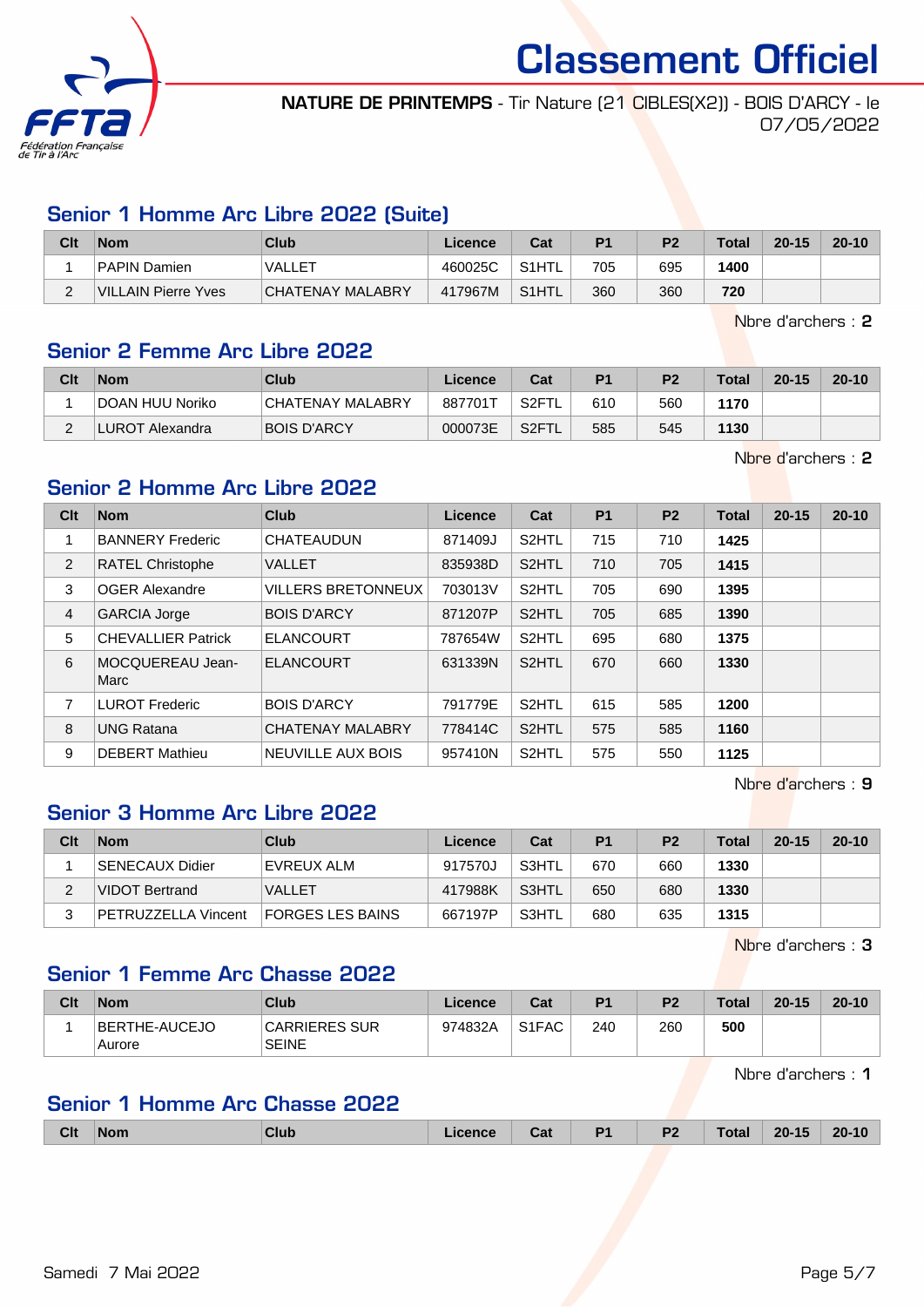

NATURE DE PRINTEMPS - Tir Nature (21 CIBLES(X2)) - BOIS D'ARCY - le 07/05/2022

### Senior 1 Homme Arc Libre 2022 (Suite)

| Clt    | <b>Nom</b>          | Club                    | Licence | Cat                | P <sub>1</sub> | P <sub>2</sub> | <b>Total</b> | $20 - 15$ | $20 - 10$ |
|--------|---------------------|-------------------------|---------|--------------------|----------------|----------------|--------------|-----------|-----------|
|        | PAPIN Damien        | VALLET                  | 460025C | S <sub>1</sub> HTL | 705            | 695            | 1400         |           |           |
| $\sim$ | VILLAIN Pierre Yves | <b>CHATENAY MALABRY</b> | 417967M | S <sub>1</sub> HTL | 360            | 360            | 720          |           |           |

Nbre d'archers : 2

#### Senior 2 Femme Arc Libre 2022

| Clt | <b>Nom</b>      | Club                    | Licence | Cat                | P <sub>1</sub> | P <sub>2</sub> | Total | $20 - 15$ | $20 - 10$ |
|-----|-----------------|-------------------------|---------|--------------------|----------------|----------------|-------|-----------|-----------|
|     | DOAN HUU Noriko | <b>CHATENAY MALABRY</b> | 887701T | S2FT               | 610            | 560            | 1170  |           |           |
|     | LUROT Alexandra | <b>BOIS D'ARCY</b>      | 000073E | S <sub>2</sub> FTL | 585            | 545            | 1130  |           |           |

Nbre d'archers : 2

### Senior 2 Homme Arc Libre 2022

| Clt            | <b>Nom</b>                | <b>Club</b>               | Licence | Cat                | <b>P1</b> | P <sub>2</sub> | <b>Total</b> | $20 - 15$ | $20 - 10$ |
|----------------|---------------------------|---------------------------|---------|--------------------|-----------|----------------|--------------|-----------|-----------|
| 1              | <b>BANNERY Frederic</b>   | <b>CHATEAUDUN</b>         | 871409J | S <sub>2</sub> HTL | 715       | 710            | 1425         |           |           |
| $\overline{2}$ | <b>RATEL Christophe</b>   | <b>VALLET</b>             | 835938D | S <sub>2</sub> HTL | 710       | 705            | 1415         |           |           |
| 3              | <b>OGER Alexandre</b>     | <b>VILLERS BRETONNEUX</b> | 703013V | S <sub>2</sub> HTL | 705       | 690            | 1395         |           |           |
| $\overline{4}$ | <b>GARCIA Jorge</b>       | <b>BOIS D'ARCY</b>        | 871207P | S <sub>2</sub> HTL | 705       | 685            | 1390         |           |           |
| 5              | <b>CHEVALLIER Patrick</b> | <b>ELANCOURT</b>          | 787654W | S2HTL              | 695       | 680            | 1375         |           |           |
| 6              | MOCQUEREAU Jean-<br>Marc  | <b>ELANCOURT</b>          | 631339N | S <sub>2</sub> HTL | 670       | 660            | 1330         |           |           |
| 7              | <b>LUROT Frederic</b>     | <b>BOIS D'ARCY</b>        | 791779E | S <sub>2</sub> HTL | 615       | 585            | 1200         |           |           |
| 8              | <b>UNG Ratana</b>         | <b>CHATENAY MALABRY</b>   | 778414C | S <sub>2</sub> HTL | 575       | 585            | 1160         |           |           |
| 9              | <b>DEBERT Mathieu</b>     | <b>NEUVILLE AUX BOIS</b>  | 957410N | S2HTL              | 575       | 550            | 1125         |           |           |

Nbre d'archers : 9

#### Senior 3 Homme Arc Libre 2022

| Clt | <b>Nom</b>                 | Club                    | Licence | Cat   | P <sub>1</sub> | P <sub>2</sub> | Total | $20 - 15$ | $20 - 10$ |
|-----|----------------------------|-------------------------|---------|-------|----------------|----------------|-------|-----------|-----------|
|     | SENECAUX Didier            | EVREUX ALM              | 917570J | S3HTL | 670            | 660            | 1330  |           |           |
|     | VIDOT Bertrand             | <b>VALLET</b>           | 417988K | S3HTL | 650            | 680            | 1330  |           |           |
|     | <b>PETRUZZELLA Vincent</b> | <b>FORGES LES BAINS</b> | 667197P | S3HTL | 680            | 635            | 1315  |           |           |

Nbre d'archers : 3

#### Senior 1 Femme Arc Chasse 2022

| Clt | <b>Nom</b>              | <b>Club</b>                   | ∟icence⊹ | Cat                | P <sub>1</sub> | P <sub>2</sub> | <b>Total</b> | $20 - 15$ | $20 - 10$ |
|-----|-------------------------|-------------------------------|----------|--------------------|----------------|----------------|--------------|-----------|-----------|
|     | BERTHE-AUCEJO<br>Aurore | CARRIERES SUR<br><b>SEINE</b> | 974832A  | S <sub>1</sub> FAC | 240            | 260            | 500          |           |           |

Nbre d'archers : 1

# Senior 1 Homme Arc Chasse 2022

| <b>Clt</b> | <b>Nom</b> | Club | icence | Cat | D <sub>1</sub> | P <sub>2</sub><br>$\sim$ $\sim$ $\sim$ | Total | $20 - 15$ | $20 - 10$ |
|------------|------------|------|--------|-----|----------------|----------------------------------------|-------|-----------|-----------|
|            |            |      |        |     |                |                                        |       |           |           |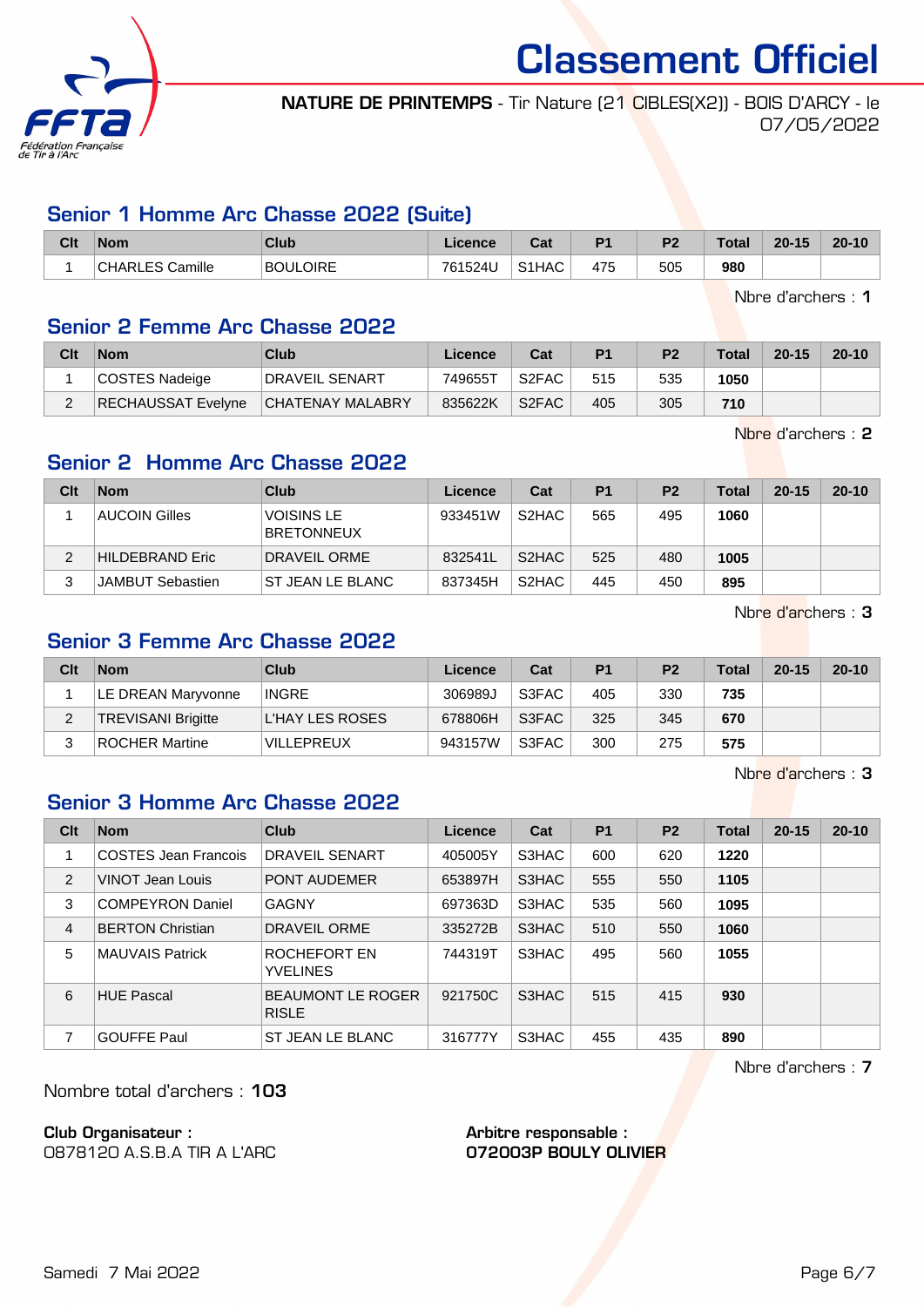

NATURE DE PRINTEMPS - Tir Nature (21 CIBLES(X2)) - BOIS D'ARCY - le 07/05/2022

#### Senior 1 Homme Arc Chasse 2022 (Suite)

| Clt | <b>Nom</b>             | Club            | Licence | <b>Rot</b><br>ua   | D <sub>4</sub> | D <sub>2</sub> | Total | $20 - 15$ | $20 - 10$ |
|-----|------------------------|-----------------|---------|--------------------|----------------|----------------|-------|-----------|-----------|
|     | <b>CHARLES Camille</b> | <b>BOULOIRE</b> | 761524U | S <sub>1</sub> HAC | 475            | 505            | 980   |           |           |

Nbre d'archers : 1

#### Senior 2 Femme Arc Chasse 2022

| Clt | <b>Nom</b>         | Club                    | Licence | Cat   | P <sub>1</sub> | P <sub>2</sub> | <b>Total</b> | $20 - 15$ | $20 - 10$ |
|-----|--------------------|-------------------------|---------|-------|----------------|----------------|--------------|-----------|-----------|
|     | COSTES Nadeige     | DRAVEIL SENART          | 749655T | S2FAC | 515            | 535            | 1050         |           |           |
|     | RECHAUSSAT Evelyne | <b>CHATENAY MALABRY</b> | 835622K | S2FAC | 405            | 305            | 710          |           |           |

Nbre d'archers : 2

### Senior 2 Homme Arc Chasse 2022

| Clt | <b>Nom</b>             | Club                                   | Licence | Cat                | P <sub>1</sub> | P <sub>2</sub> | <b>Total</b> | $20 - 15$ | $20 - 10$ |
|-----|------------------------|----------------------------------------|---------|--------------------|----------------|----------------|--------------|-----------|-----------|
|     | <b>AUCOIN Gilles</b>   | <b>VOISINS LE</b><br><b>BRETONNEUX</b> | 933451W | S <sub>2</sub> HAC | 565            | 495            | 1060         |           |           |
| っ   | <b>HILDEBRAND Eric</b> | <b>DRAVEIL ORME</b>                    | 832541L | S <sub>2</sub> HAC | 525            | 480            | 1005         |           |           |
| ◠   | JAMBUT Sebastien       | ST JEAN LE BLANC                       | 837345H | S <sub>2</sub> HAC | 445            | 450            | 895          |           |           |

Nbre d'archers : 3

# Senior 3 Femme Arc Chasse 2022

| Clt | <b>Nom</b>                | Club              | Licence | Cat   | P <sub>1</sub> | P <sub>2</sub> | <b>Total</b> | $20 - 15$ | $20 - 10$ |
|-----|---------------------------|-------------------|---------|-------|----------------|----------------|--------------|-----------|-----------|
|     | LE DREAN Maryvonne        | <b>INGRE</b>      | 306989J | S3FAC | 405            | 330            | 735          |           |           |
|     | <b>TREVISANI Brigitte</b> | L'HAY LES ROSES   | 678806H | S3FAC | 325            | 345            | 670          |           |           |
|     | <b>ROCHER Martine</b>     | <b>VILLEPREUX</b> | 943157W | S3FAC | 300            | 275            | 575          |           |           |

Nbre d'archers : 3

# Senior 3 Homme Arc Chasse 2022

| Clt | <b>Nom</b>              | Club                                     | Licence | Cat   | <b>P1</b> | P <sub>2</sub> | Total | $20 - 15$ | $20 - 10$ |
|-----|-------------------------|------------------------------------------|---------|-------|-----------|----------------|-------|-----------|-----------|
|     | COSTES Jean Francois    | DRAVEIL SENART                           | 405005Y | S3HAC | 600       | 620            | 1220  |           |           |
| 2   | VINOT Jean Louis        | <b>PONT AUDEMER</b>                      | 653897H | S3HAC | 555       | 550            | 1105  |           |           |
| 3   | <b>COMPEYRON Daniel</b> | <b>GAGNY</b>                             | 697363D | S3HAC | 535       | 560            | 1095  |           |           |
| 4   | <b>BERTON Christian</b> | DRAVEIL ORME                             | 335272B | S3HAC | 510       | 550            | 1060  |           |           |
| 5   | <b>MAUVAIS Patrick</b>  | ROCHEFORT EN<br><b>YVELINES</b>          | 744319T | S3HAC | 495       | 560            | 1055  |           |           |
| 6   | <b>HUE Pascal</b>       | <b>BEAUMONT LE ROGER</b><br><b>RISLE</b> | 921750C | S3HAC | 515       | 415            | 930   |           |           |
| 7   | <b>GOUFFE Paul</b>      | ST JEAN LE BLANC                         | 316777Y | S3HAC | 455       | 435            | 890   |           |           |

Nbre d'archers : 7

Nombre total d'archers : 103

Club Organisateur :

0878120 A.S.B.A TIR A L'ARC

Arbitre responsable : 072003P BOULY OLIVIER